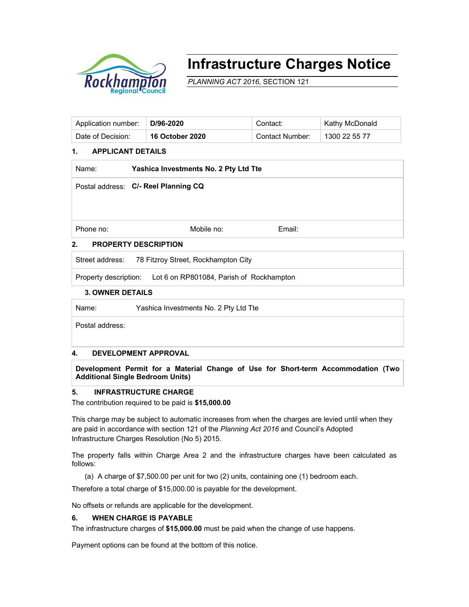

# **Infrastructure Charges Notice**

*PLANNING ACT 2016*, SECTION 121

| Application number: | ∣D/96-2020             | Contact:        | Kathy McDonald |
|---------------------|------------------------|-----------------|----------------|
| Date of Decision:   | <b>16 October 2020</b> | Contact Number: | 1300 22 55 77  |

## **1. APPLICANT DETAILS**

| Name:     | Yashica Investments No. 2 Pty Ltd Tte |        |  |  |  |
|-----------|---------------------------------------|--------|--|--|--|
|           | Postal address: C/- Reel Planning CQ  |        |  |  |  |
|           |                                       |        |  |  |  |
|           |                                       |        |  |  |  |
| Phone no: | Mobile no:                            | Email: |  |  |  |
|           | ----------                            |        |  |  |  |

# **2. PROPERTY DESCRIPTION**

Street address: 78 Fitzroy Street, Rockhampton City

Property description: Lot 6 on RP801084, Parish of Rockhampton

#### **3. OWNER DETAILS**

Name: Yashica Investments No. 2 Pty Ltd Tte

Postal address:

### **4. DEVELOPMENT APPROVAL**

**Development Permit for a Material Change of Use for Short-term Accommodation (Two Additional Single Bedroom Units)** 

#### **5. INFRASTRUCTURE CHARGE**

The contribution required to be paid is **\$15,000.00**

This charge may be subject to automatic increases from when the charges are levied until when they are paid in accordance with section 121 of the *Planning Act 2016* and Council's Adopted Infrastructure Charges Resolution (No 5) 2015.

The property falls within Charge Area 2 and the infrastructure charges have been calculated as follows:

(a) A charge of \$7,500.00 per unit for two (2) units, containing one (1) bedroom each.

Therefore a total charge of \$15,000.00 is payable for the development.

No offsets or refunds are applicable for the development.

### **6. WHEN CHARGE IS PAYABLE**

The infrastructure charges of **\$15,000.00** must be paid when the change of use happens.

Payment options can be found at the bottom of this notice.